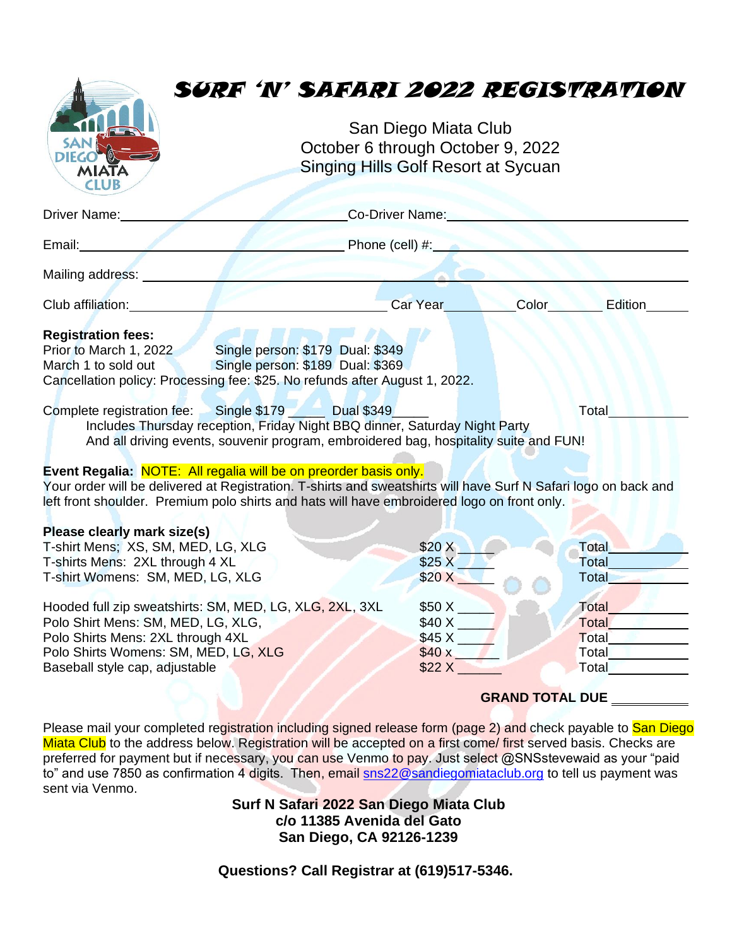# SURF 'N' SAFARI 2022 REGISTRATION

San Diego Miata Club October 6 through October 9, 2022 Singing Hills Golf Resort at Sycuan

| Driver Name:                                                                                                                                                                                                                                                                                                                                                                                                                                                               | Co-Driver Name:                |                        |                                           |  |
|----------------------------------------------------------------------------------------------------------------------------------------------------------------------------------------------------------------------------------------------------------------------------------------------------------------------------------------------------------------------------------------------------------------------------------------------------------------------------|--------------------------------|------------------------|-------------------------------------------|--|
| Email:<br>and the contract of the contract of the contract of the contract of the contract of the contract of the contract of                                                                                                                                                                                                                                                                                                                                              | Phone (cell) $#$ :             |                        |                                           |  |
| Mailing address: <u>2001</u>                                                                                                                                                                                                                                                                                                                                                                                                                                               |                                |                        |                                           |  |
| Club affiliation: Club and Club                                                                                                                                                                                                                                                                                                                                                                                                                                            | Car Year <b>Car</b>            | Color                  | Edition                                   |  |
| <b>Registration fees:</b><br>Single person: \$179 Dual: \$349<br>Prior to March 1, 2022<br>Single person: \$189 Dual: \$369<br>March 1 to sold out<br>Cancellation policy: Processing fee: \$25. No refunds after August 1, 2022.<br>Single \$179 Dual \$349<br>Total<br>Complete registration fee:<br>Includes Thursday reception, Friday Night BBQ dinner, Saturday Night Party<br>And all driving events, souvenir program, embroidered bag, hospitality suite and FUN! |                                |                        |                                           |  |
| Event Regalia: NOTE: All regalia will be on preorder basis only.<br>Your order will be delivered at Registration. T-shirts and sweatshirts will have Surf N Safari logo on back and<br>left front shoulder. Premium polo shirts and hats will have embroidered logo on front only.                                                                                                                                                                                         |                                |                        |                                           |  |
| Please clearly mark size(s)<br>T-shirt Mens; XS, SM, MED, LG, XLG<br>T-shirts Mens: 2XL through 4 XL<br>T-shirt Womens: SM, MED, LG, XLG                                                                                                                                                                                                                                                                                                                                   | \$20 X<br>\$25X<br>$$20 X$ $-$ |                        | <b>Total</b><br>Total<br>Total            |  |
| Hooded full zip sweatshirts: SM, MED, LG, XLG, 2XL, 3XL<br>Polo Shirt Mens: SM, MED, LG, XLG,<br>Polo Shirts Mens: 2XL through 4XL<br>Polo Shirts Womens: SM, MED, LG, XLG<br>Baseball style cap, adjustable                                                                                                                                                                                                                                                               | \$50 X<br>\$40 x<br>\$22 X     |                        | Total<br>Total<br>Total<br>Total<br>Total |  |
|                                                                                                                                                                                                                                                                                                                                                                                                                                                                            |                                | <b>GRAND TOTAL DUE</b> |                                           |  |

Please mail your completed registration including signed release form (page 2) and check payable to San Diego Miata Club to the address below. Registration will be accepted on a first come/ first served basis. Checks are preferred for payment but if necessary, you can use Venmo to pay. Just select @SNSstevewaid as your "paid to" and use 7850 as confirmation 4 digits. Then, email [sns22@sandiegomiataclub.org](mailto:sns22@sandiegomiataclub.org) to tell us payment was sent via Venmo.

> **Surf N Safari 2022 San Diego Miata Club c/o 11385 Avenida del Gato San Diego, CA 92126-1239**

**Questions? Call Registrar at (619)517-5346.**